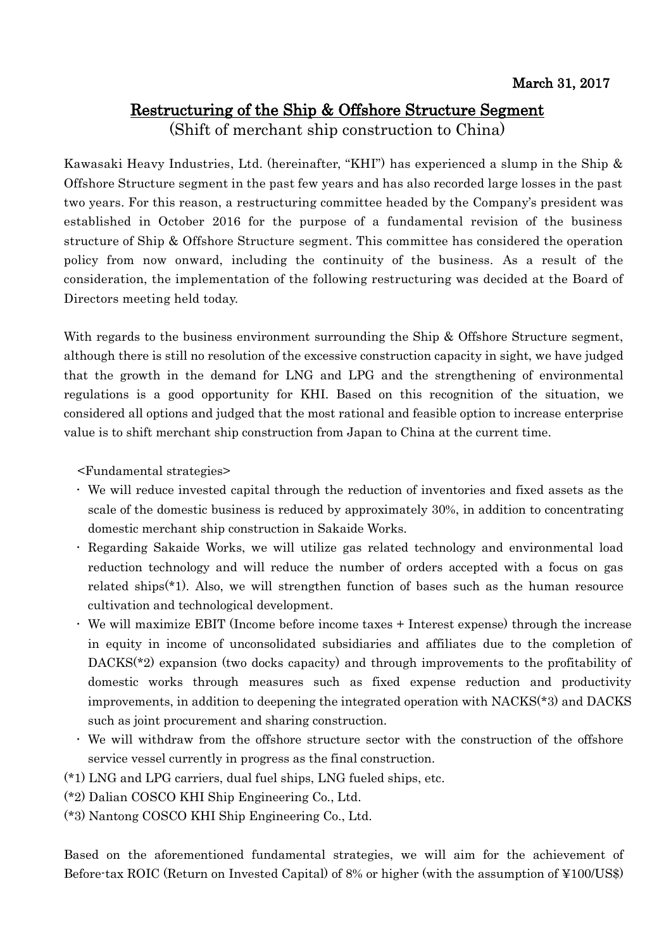## Restructuring of the Ship & Offshore Structure Segment

(Shift of merchant ship construction to China)

Kawasaki Heavy Industries, Ltd. (hereinafter, "KHI") has experienced a slump in the Ship & Offshore Structure segment in the past few years and has also recorded large losses in the past two years. For this reason, a restructuring committee headed by the Company's president was established in October 2016 for the purpose of a fundamental revision of the business structure of Ship & Offshore Structure segment. This committee has considered the operation policy from now onward, including the continuity of the business. As a result of the consideration, the implementation of the following restructuring was decided at the Board of Directors meeting held today.

With regards to the business environment surrounding the Ship & Offshore Structure segment, although there is still no resolution of the excessive construction capacity in sight, we have judged that the growth in the demand for LNG and LPG and the strengthening of environmental regulations is a good opportunity for KHI. Based on this recognition of the situation, we considered all options and judged that the most rational and feasible option to increase enterprise value is to shift merchant ship construction from Japan to China at the current time.

<Fundamental strategies>

- We will reduce invested capital through the reduction of inventories and fixed assets as the scale of the domestic business is reduced by approximately 30%, in addition to concentrating domestic merchant ship construction in Sakaide Works.
- Regarding Sakaide Works, we will utilize gas related technology and environmental load reduction technology and will reduce the number of orders accepted with a focus on gas related ships(\*1). Also, we will strengthen function of bases such as the human resource cultivation and technological development.
- We will maximize EBIT (Income before income taxes + Interest expense) through the increase in equity in income of unconsolidated subsidiaries and affiliates due to the completion of DACKS<sup>(\*2)</sup> expansion (two docks capacity) and through improvements to the profitability of domestic works through measures such as fixed expense reduction and productivity improvements, in addition to deepening the integrated operation with NACKS(\*3) and DACKS such as joint procurement and sharing construction.
- We will withdraw from the offshore structure sector with the construction of the offshore service vessel currently in progress as the final construction.
- (\*1) LNG and LPG carriers, dual fuel ships, LNG fueled ships, etc.
- (\*2) Dalian COSCO KHI Ship Engineering Co., Ltd.
- (\*3) Nantong COSCO KHI Ship Engineering Co., Ltd.

Based on the aforementioned fundamental strategies, we will aim for the achievement of Before-tax ROIC (Return on Invested Capital) of 8% or higher (with the assumption of ¥100/US\$)